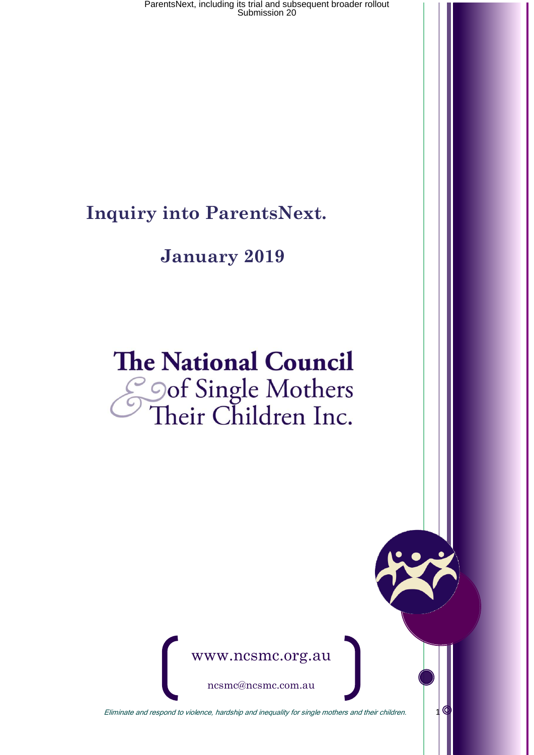**Inquiry into ParentsNext.**

### **January 2019**

# **The National Council** Soof Single Mothers<br>Their Children Inc.



ncsmc@ncsmc.com.au

Eliminate and respond to violence, hardship and inequality for single mothers and their children.  $10$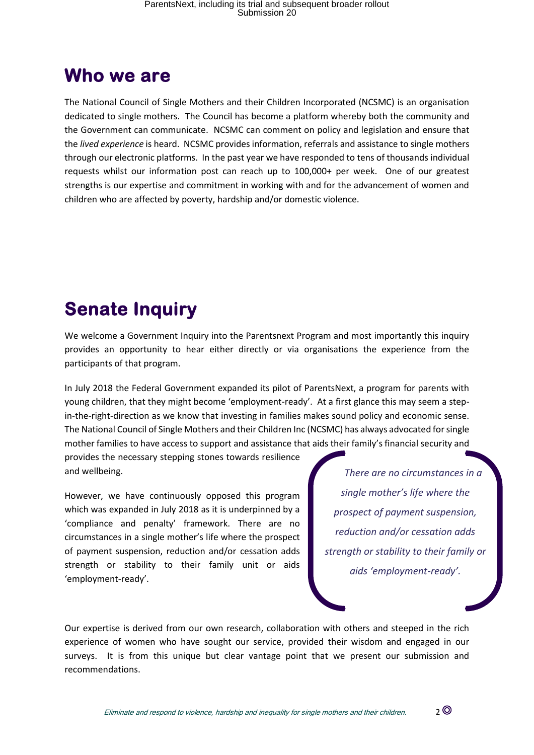### **Who we are**

The National Council of Single Mothers and their Children Incorporated (NCSMC) is an organisation dedicated to single mothers. The Council has become a platform whereby both the community and the Government can communicate. NCSMC can comment on policy and legislation and ensure that the *lived experience* is heard. NCSMC provides information, referrals and assistance to single mothers through our electronic platforms. In the past year we have responded to tens of thousands individual requests whilst our information post can reach up to 100,000+ per week. One of our greatest strengths is our expertise and commitment in working with and for the advancement of women and children who are affected by poverty, hardship and/or domestic violence.

# **Senate Inquiry**

We welcome a Government Inquiry into the Parentsnext Program and most importantly this inquiry provides an opportunity to hear either directly or via organisations the experience from the participants of that program.

In July 2018 the Federal Government expanded its pilot of ParentsNext, a program for parents with young children, that they might become 'employment-ready'. At a first glance this may seem a stepin-the-right-direction as we know that investing in families makes sound policy and economic sense. The National Council of Single Mothers and their Children Inc (NCSMC) has always advocated for single mother families to have access to support and assistance that aids their family's financial security and

provides the necessary stepping stones towards resilience and wellbeing.

However, we have continuously opposed this program which was expanded in July 2018 as it is underpinned by a 'compliance and penalty' framework. There are no circumstances in a single mother's life where the prospect of payment suspension, reduction and/or cessation adds strength or stability to their family unit or aids 'employment-ready'.

*There are no circumstances in a single mother's life where the prospect of payment suspension, reduction and/or cessation adds strength or stability to their family or aids 'employment-ready'.* 

Our expertise is derived from our own research, collaboration with others and steeped in the rich experience of women who have sought our service, provided their wisdom and engaged in our surveys. It is from this unique but clear vantage point that we present our submission and recommendations.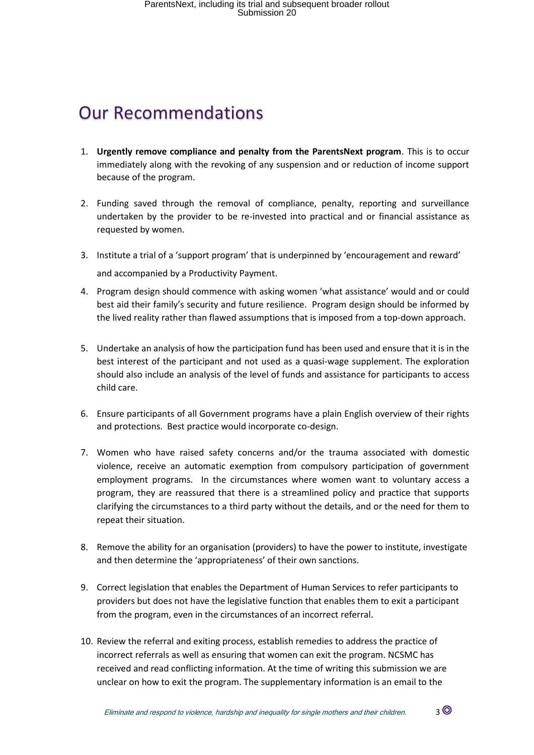## Our Recommendations

- 1. **Urgently remove compliance and penalty from the ParentsNext program**. This is to occur immediately along with the revoking of any suspension and or reduction of income support because of the program.
- 2. Funding saved through the removal of compliance, penalty, reporting and surveillance undertaken by the provider to be re-invested into practical and or financial assistance as requested by women.
- 3. Institute a trial of a 'support program' that is underpinned by 'encouragement and reward' and accompanied by a Productivity Payment.
- 4. Program design should commence with asking women 'what assistance' would and or could best aid their family's security and future resilience. Program design should be informed by the lived reality rather than flawed assumptions that is imposed from a top-down approach.
- 5. Undertake an analysis of how the participation fund has been used and ensure that it is in the best interest of the participant and not used as a quasi-wage supplement. The exploration should also include an analysis of the level of funds and assistance for participants to access child care.
- 6. Ensure participants of all Government programs have a plain English overview of their rights and protections. Best practice would incorporate co-design.
- 7. Women who have raised safety concerns and/or the trauma associated with domestic violence, receive an automatic exemption from compulsory participation of government employment programs. In the circumstances where women want to voluntary access a program, they are reassured that there is a streamlined policy and practice that supports clarifying the circumstances to a third party without the details, and or the need for them to repeat their situation.
- 8. Remove the ability for an organisation (providers) to have the power to institute, investigate and then determine the 'appropriateness' of their own sanctions.
- 9. Correct legislation that enables the Department of Human Services to refer participants to providers but does not have the legislative function that enables them to exit a participant from the program, even in the circumstances of an incorrect referral.
- 10. Review the referral and exiting process, establish remedies to address the practice of incorrect referrals as well as ensuring that women can exit the program. NCSMC has received and read conflicting information. At the time of writing this submission we are unclear on how to exit the program. The supplementary information is an email to the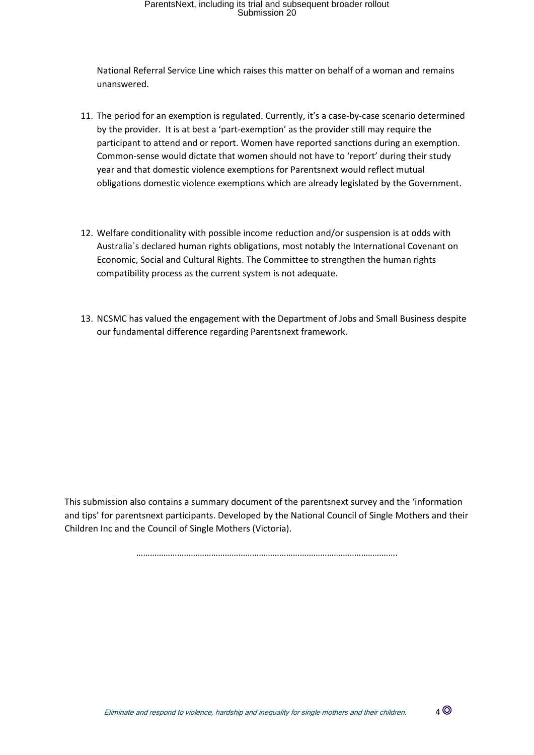National Referral Service Line which raises this matter on behalf of a woman and remains unanswered.

- 11. The period for an exemption is regulated. Currently, it's a case-by-case scenario determined by the provider. It is at best a 'part-exemption' as the provider still may require the participant to attend and or report. Women have reported sanctions during an exemption. Common-sense would dictate that women should not have to 'report' during their study year and that domestic violence exemptions for Parentsnext would reflect mutual obligations domestic violence exemptions which are already legislated by the Government.
- 12. Welfare conditionality with possible income reduction and/or suspension is at odds with Australia`s declared human rights obligations, most notably the International Covenant on Economic, Social and Cultural Rights. The Committee to strengthen the human rights compatibility process as the current system is not adequate.
- 13. NCSMC has valued the engagement with the Department of Jobs and Small Business despite our fundamental difference regarding Parentsnext framework.

This submission also contains a summary document of the parentsnext survey and the 'information and tips' for parentsnext participants. Developed by the National Council of Single Mothers and their Children Inc and the Council of Single Mothers (Victoria).

…………………………………………………………………………………………………….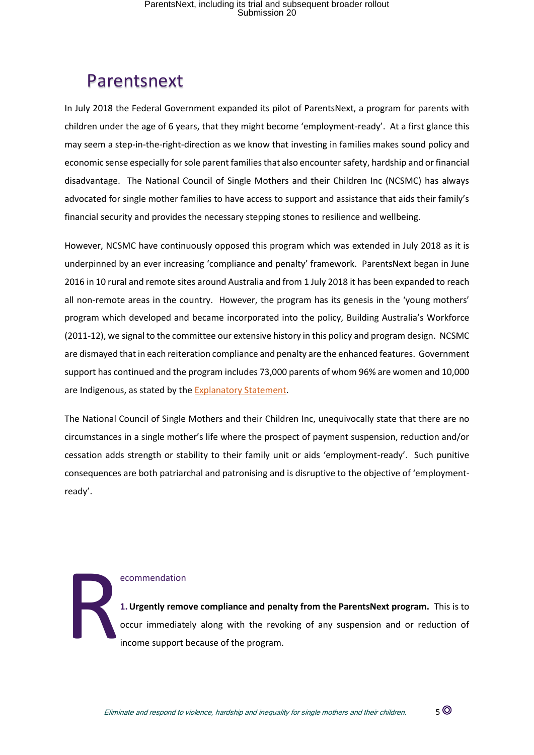### Parentsnext

In July 2018 the Federal Government expanded its pilot of ParentsNext, a program for parents with children under the age of 6 years, that they might become 'employment-ready'. At a first glance this may seem a step-in-the-right-direction as we know that investing in families makes sound policy and economic sense especially for sole parent families that also encounter safety, hardship and or financial disadvantage. The National Council of Single Mothers and their Children Inc (NCSMC) has always advocated for single mother families to have access to support and assistance that aids their family's financial security and provides the necessary stepping stones to resilience and wellbeing.

However, NCSMC have continuously opposed this program which was extended in July 2018 as it is underpinned by an ever increasing 'compliance and penalty' framework. ParentsNext began in June 2016 in 10 rural and remote sites around Australia and from 1 July 2018 it has been expanded to reach all non-remote areas in the country. However, the program has its genesis in the 'young mothers' program which developed and became incorporated into the policy, Building Australia's Workforce (2011-12), we signal to the committee our extensive history in this policy and program design. NCSMC are dismayed that in each reiteration compliance and penalty are the enhanced features. Government support has continued and the program includes 73,000 parents of whom 96% are women and 10,000 are Indigenous, as stated by the [Explanatory Statement.](https://www.legislation.gov.au/Details/F2018L00238/Replacement%20Explanatory%20Statement/Text)

The National Council of Single Mothers and their Children Inc, unequivocally state that there are no circumstances in a single mother's life where the prospect of payment suspension, reduction and/or cessation adds strength or stability to their family unit or aids 'employment-ready'. Such punitive consequences are both patriarchal and patronising and is disruptive to the objective of 'employmentready'.

ecommendation **1.Urgently remove compliance and penalty from the ParentsNext program.** This is to **1. Urgently remove compliance and penalty from the ParentsNext program.** This is to occur immediately along with the revoking of any suspension and or reduction of income support because of the program. income support because of the program.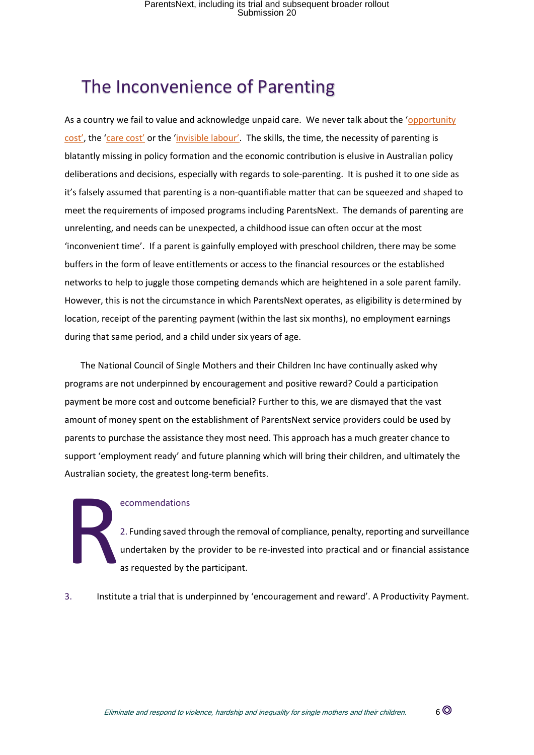### The Inconvenience of Parenting

As a country we fail to value and acknowledge unpaid care. We never talk about the 'opportunity [cost',](https://www.collinsdictionary.com/dictionary/english/opportunity-cost) the ['care cost'](https://www.security4women.org.au/wp-content/uploads/eS4W-Counting-on-Care-Work-in-Australia-Final-Report.pdf) or the ['invisible labour'](https://mashable.com/article/women-invisible-labor-mental-load-study/?fbclid=IwAR0oN9_P9RjrVXocP8WFMClw-iiWPcHlypllaMHaKo-aU1r7QsahLLiAtM0). The skills, the time, the necessity of parenting is blatantly missing in policy formation and the economic contribution is elusive in Australian policy deliberations and decisions, especially with regards to sole-parenting. It is pushed it to one side as it's falsely assumed that parenting is a non-quantifiable matter that can be squeezed and shaped to meet the requirements of imposed programs including ParentsNext. The demands of parenting are unrelenting, and needs can be unexpected, a childhood issue can often occur at the most 'inconvenient time'. If a parent is gainfully employed with preschool children, there may be some buffers in the form of leave entitlements or access to the financial resources or the established networks to help to juggle those competing demands which are heightened in a sole parent family. However, this is not the circumstance in which ParentsNext operates, as eligibility is determined by location, receipt of the parenting payment (within the last six months), no employment earnings during that same period, and a child under six years of age.

The National Council of Single Mothers and their Children Inc have continually asked why programs are not underpinned by encouragement and positive reward? Could a participation payment be more cost and outcome beneficial? Further to this, we are dismayed that the vast amount of money spent on the establishment of ParentsNext service providers could be used by parents to purchase the assistance they most need. This approach has a much greater chance to support 'employment ready' and future planning which will bring their children, and ultimately the Australian society, the greatest long-term benefits.

#### ecommendations

2. Funding saved through the removal of compliance, penalty, reporting and surveillance undertaken by the provider to be re-invested into practical and or financial assistance as requested by the participant. R

3. Institute a trial that is underpinned by 'encouragement and reward'. A Productivity Payment.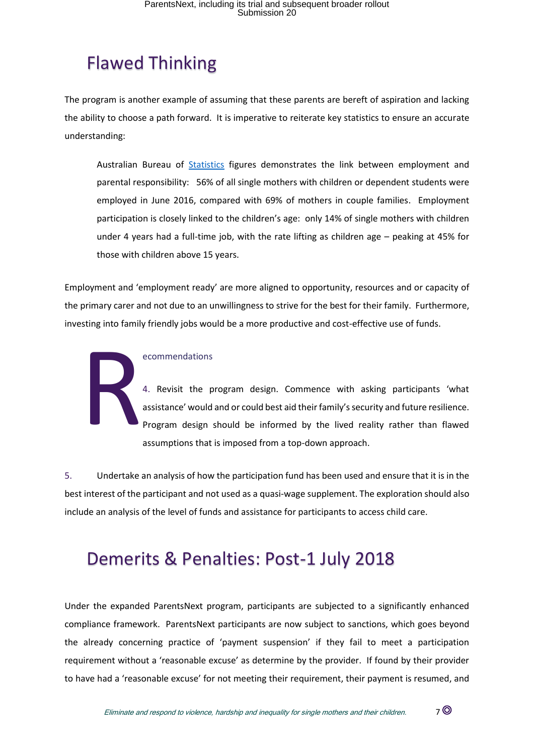# Flawed Thinking

The program is another example of assuming that these parents are bereft of aspiration and lacking the ability to choose a path forward. It is imperative to reiterate key statistics to ensure an accurate understanding:

Australian Bureau of [Statistics](http://www.abs.gov.au/ausstats/abs@.nsf/Lookup/6224.0.55.001main+features5June%202016) figures demonstrates the link between employment and parental responsibility: 56% of all single mothers with children or dependent students were employed in June 2016, compared with 69% of mothers in couple families. Employment participation is closely linked to the children's age: only 14% of single mothers with children under 4 years had a full-time job, with the rate lifting as children age – peaking at 45% for those with children above 15 years.

Employment and 'employment ready' are more aligned to opportunity, resources and or capacity of the primary carer and not due to an unwillingness to strive for the best for their family. Furthermore, investing into family friendly jobs would be a more productive and cost-effective use of funds.

#### ecommendations

4. Revisit the program design. Commence with asking participants 'what assistance' would and or could best aid their family's security and future resilience. Program design should be informed by the lived reality rather than flawed assumptions that is imposed from a top-down approach. R

5. Undertake an analysis of how the participation fund has been used and ensure that it is in the best interest of the participant and not used as a quasi-wage supplement. The exploration should also include an analysis of the level of funds and assistance for participants to access child care.

### Demerits & Penalties: Post-1 July 2018

Under the expanded ParentsNext program, participants are subjected to a significantly enhanced compliance framework. ParentsNext participants are now subject to sanctions, which goes beyond the already concerning practice of 'payment suspension' if they fail to meet a participation requirement without a 'reasonable excuse' as determine by the provider. If found by their provider to have had a 'reasonable excuse' for not meeting their requirement, their payment is resumed, and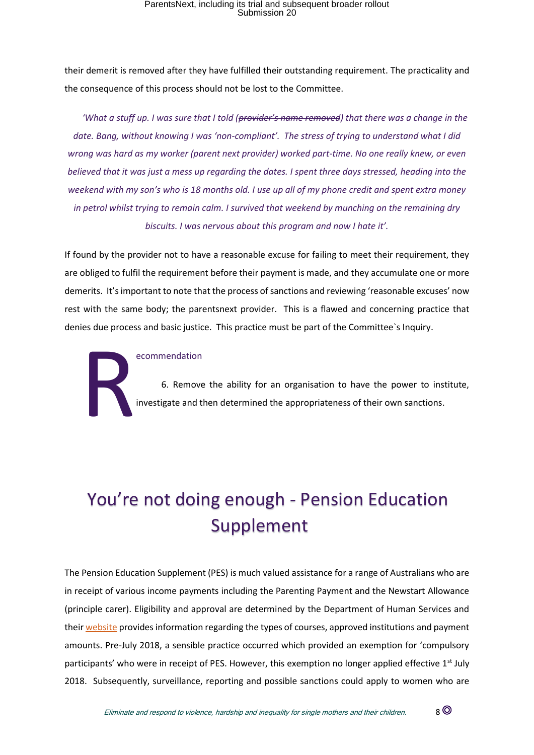their demerit is removed after they have fulfilled their outstanding requirement. The practicality and the consequence of this process should not be lost to the Committee.

*'What a stuff up. I was sure that I told (provider's name removed) that there was a change in the date. Bang, without knowing I was 'non-compliant'. The stress of trying to understand what I did wrong was hard as my worker (parent next provider) worked part-time. No one really knew, or even believed that it was just a mess up regarding the dates. I spent three days stressed, heading into the weekend with my son's who is 18 months old. I use up all of my phone credit and spent extra money in petrol whilst trying to remain calm. I survived that weekend by munching on the remaining dry biscuits. I was nervous about this program and now I hate it'.*

If found by the provider not to have a reasonable excuse for failing to meet their requirement, they are obliged to fulfil the requirement before their payment is made, and they accumulate one or more demerits. It's important to note that the process of sanctions and reviewing 'reasonable excuses' now rest with the same body; the parentsnext provider. This is a flawed and concerning practice that denies due process and basic justice. This practice must be part of the Committee`s Inquiry.



#### ecommendation

6. Remove the ability for an organisation to have the power to institute, investigate and then determined the appropriateness of their own sanctions.

# You're not doing enough - Pension Education Supplement

The Pension Education Supplement (PES) is much valued assistance for a range of Australians who are in receipt of various income payments including the Parenting Payment and the Newstart Allowance (principle carer). Eligibility and approval are determined by the Department of Human Services and thei[r website](file:///C:/Users/teres/AppData/Local/Microsoft/Windows/INetCache/Content.Outlook/3IRI7LO6/Approved%20courses%20and%20institutions) provides information regarding the types of courses, approved institutions and payment amounts. Pre-July 2018, a sensible practice occurred which provided an exemption for 'compulsory participants' who were in receipt of PES. However, this exemption no longer applied effective  $1<sup>st</sup>$  July 2018. Subsequently, surveillance, reporting and possible sanctions could apply to women who are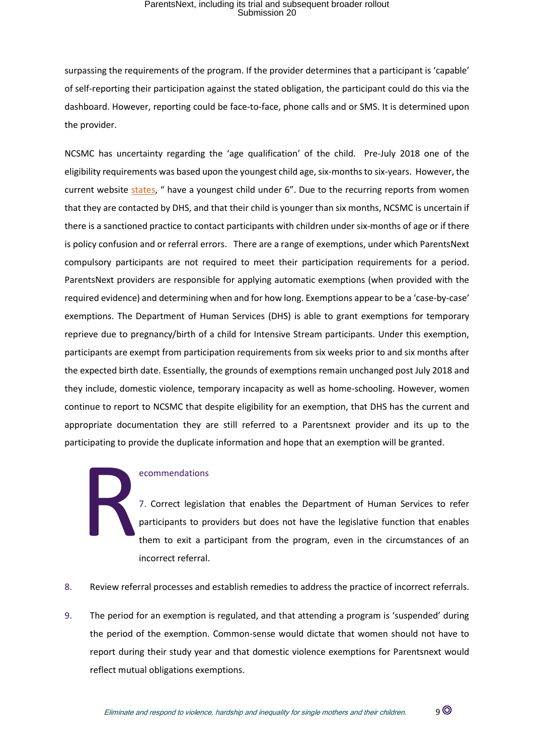surpassing the requirements of the program. If the provider determines that a participant is 'capable' of self-reporting their participation against the stated obligation, the participant could do this via the dashboard. However, reporting could be face-to-face, phone calls and or SMS. It is determined upon the provider.

NCSMC has uncertainty regarding the 'age qualification' of the child. Pre-July 2018 one of the eligibility requirements was based upon the youngest child age, six-months to six-years. However, the current website [states](https://www.humanservices.gov.au/individuals/services/centrelink/parentsnext), " have a youngest child under 6". Due to the recurring reports from women that they are contacted by DHS, and that their child is younger than six months, NCSMC is uncertain if there is a sanctioned practice to contact participants with children under six-months of age or if there is policy confusion and or referral errors. There are a range of exemptions, under which ParentsNext compulsory participants are not required to meet their participation requirements for a period. ParentsNext providers are responsible for applying automatic exemptions (when provided with the required evidence) and determining when and for how long. Exemptions appear to be a 'case-by-case' exemptions. The Department of Human Services (DHS) is able to grant exemptions for temporary reprieve due to pregnancy/birth of a child for Intensive Stream participants. Under this exemption, participants are exempt from participation requirements from six weeks prior to and six months after the expected birth date. Essentially, the grounds of exemptions remain unchanged post July 2018 and they include, domestic violence, temporary incapacity as well as home-schooling. However, women continue to report to NCSMC that despite eligibility for an exemption, that DHS has the current and appropriate documentation they are still referred to a Parentsnext provider and its up to the participating to provide the duplicate information and hope that an exemption will be granted.

#### ecommendations

7. Correct legislation that enables the Department of Human Services to refer participants to providers but does not have the legislative function that enables them to exit a participant from the program, even in the circumstances of an incorrect referral. R

- 8. Review referral processes and establish remedies to address the practice of incorrect referrals.
- 9. The period for an exemption is regulated, and that attending a program is 'suspended' during the period of the exemption. Common-sense would dictate that women should not have to report during their study year and that domestic violence exemptions for Parentsnext would reflect mutual obligations exemptions.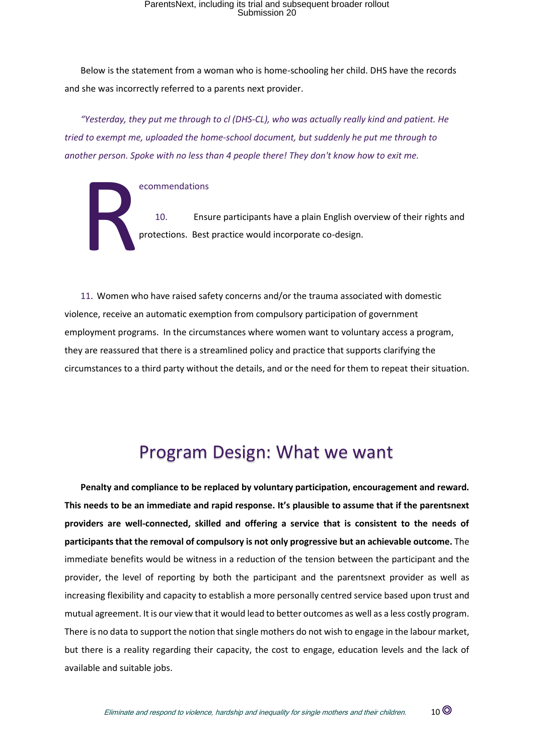Below is the statement from a woman who is home-schooling her child. DHS have the records and she was incorrectly referred to a parents next provider.

*"Yesterday, they put me through to cl (DHS-CL), who was actually really kind and patient. He tried to exempt me, uploaded the home-school document, but suddenly he put me through to another person. Spoke with no less than 4 people there! They don't know how to exit me.*

ecommendations

10. Ensure participants have a plain English overview of their rights and protections. Best practice would incorporate co-design. R

11. Women who have raised safety concerns and/or the trauma associated with domestic violence, receive an automatic exemption from compulsory participation of government employment programs. In the circumstances where women want to voluntary access a program, they are reassured that there is a streamlined policy and practice that supports clarifying the circumstances to a third party without the details, and or the need for them to repeat their situation.

### Program Design: What we want

**Penalty and compliance to be replaced by voluntary participation, encouragement and reward. This needs to be an immediate and rapid response. It's plausible to assume that if the parentsnext providers are well-connected, skilled and offering a service that is consistent to the needs of participants that the removal of compulsory is not only progressive but an achievable outcome.** The immediate benefits would be witness in a reduction of the tension between the participant and the provider, the level of reporting by both the participant and the parentsnext provider as well as increasing flexibility and capacity to establish a more personally centred service based upon trust and mutual agreement. It is our view that it would lead to better outcomes as well as a less costly program. There is no data to support the notion that single mothers do not wish to engage in the labour market, but there is a reality regarding their capacity, the cost to engage, education levels and the lack of available and suitable jobs.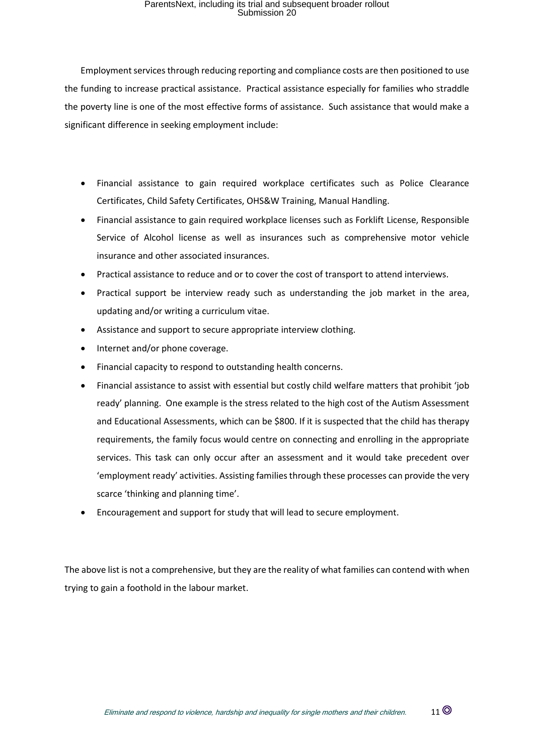Employment services through reducing reporting and compliance costs are then positioned to use the funding to increase practical assistance. Practical assistance especially for families who straddle the poverty line is one of the most effective forms of assistance. Such assistance that would make a significant difference in seeking employment include:

- Financial assistance to gain required workplace certificates such as Police Clearance Certificates, Child Safety Certificates, OHS&W Training, Manual Handling.
- Financial assistance to gain required workplace licenses such as Forklift License, Responsible Service of Alcohol license as well as insurances such as comprehensive motor vehicle insurance and other associated insurances.
- Practical assistance to reduce and or to cover the cost of transport to attend interviews.
- Practical support be interview ready such as understanding the job market in the area, updating and/or writing a curriculum vitae.
- Assistance and support to secure appropriate interview clothing.
- Internet and/or phone coverage.
- Financial capacity to respond to outstanding health concerns.
- Financial assistance to assist with essential but costly child welfare matters that prohibit 'job ready' planning. One example is the stress related to the high cost of the Autism Assessment and Educational Assessments, which can be \$800. If it is suspected that the child has therapy requirements, the family focus would centre on connecting and enrolling in the appropriate services. This task can only occur after an assessment and it would take precedent over 'employment ready' activities. Assisting families through these processes can provide the very scarce 'thinking and planning time'.
- Encouragement and support for study that will lead to secure employment.

The above list is not a comprehensive, but they are the reality of what families can contend with when trying to gain a foothold in the labour market.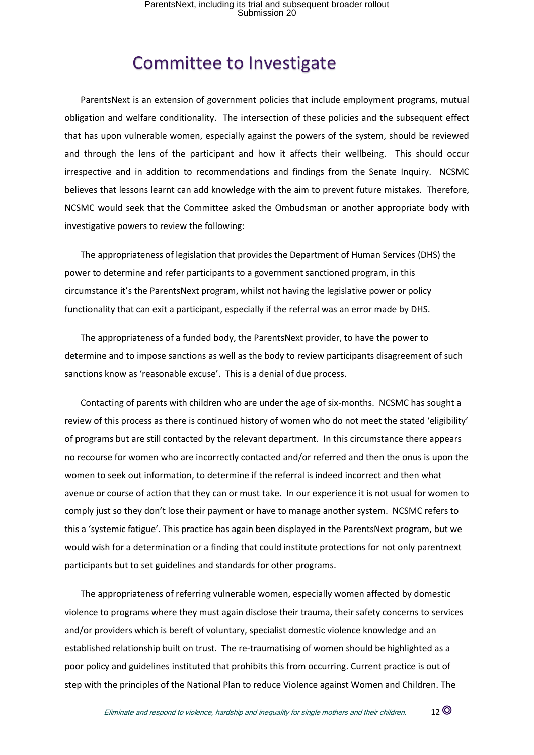### Committee to Investigate

ParentsNext is an extension of government policies that include employment programs, mutual obligation and welfare conditionality. The intersection of these policies and the subsequent effect that has upon vulnerable women, especially against the powers of the system, should be reviewed and through the lens of the participant and how it affects their wellbeing. This should occur irrespective and in addition to recommendations and findings from the Senate Inquiry. NCSMC believes that lessons learnt can add knowledge with the aim to prevent future mistakes. Therefore, NCSMC would seek that the Committee asked the Ombudsman or another appropriate body with investigative powers to review the following:

The appropriateness of legislation that provides the Department of Human Services (DHS) the power to determine and refer participants to a government sanctioned program, in this circumstance it's the ParentsNext program, whilst not having the legislative power or policy functionality that can exit a participant, especially if the referral was an error made by DHS.

The appropriateness of a funded body, the ParentsNext provider, to have the power to determine and to impose sanctions as well as the body to review participants disagreement of such sanctions know as 'reasonable excuse'. This is a denial of due process.

Contacting of parents with children who are under the age of six-months. NCSMC has sought a review of this process as there is continued history of women who do not meet the stated 'eligibility' of programs but are still contacted by the relevant department. In this circumstance there appears no recourse for women who are incorrectly contacted and/or referred and then the onus is upon the women to seek out information, to determine if the referral is indeed incorrect and then what avenue or course of action that they can or must take. In our experience it is not usual for women to comply just so they don't lose their payment or have to manage another system. NCSMC refers to this a 'systemic fatigue'. This practice has again been displayed in the ParentsNext program, but we would wish for a determination or a finding that could institute protections for not only parentnext participants but to set guidelines and standards for other programs.

The appropriateness of referring vulnerable women, especially women affected by domestic violence to programs where they must again disclose their trauma, their safety concerns to services and/or providers which is bereft of voluntary, specialist domestic violence knowledge and an established relationship built on trust. The re-traumatising of women should be highlighted as a poor policy and guidelines instituted that prohibits this from occurring. Current practice is out of step with the principles of the National Plan to reduce Violence against Women and Children. The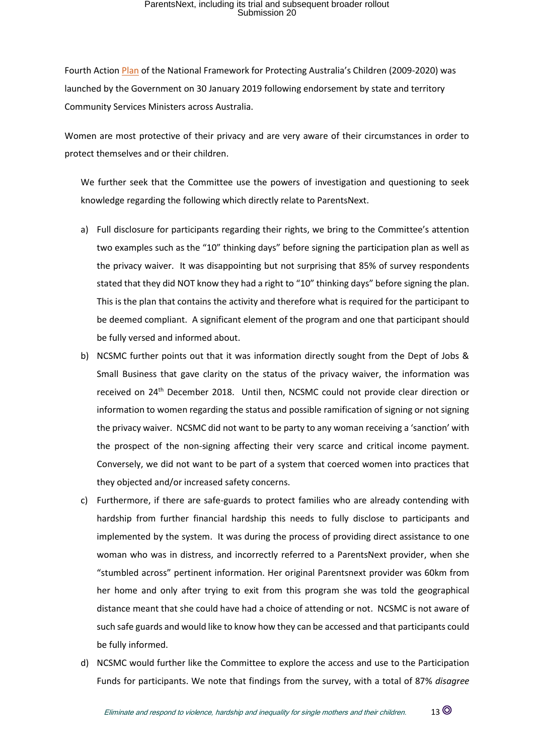Fourth Actio[n Plan](https://www.dss.gov.au/our-responsibilities/families-and-children/programs-services/protecting-australias-children) of the National Framework for Protecting Australia's Children (2009-2020) was launched by the Government on 30 January 2019 following endorsement by state and territory Community Services Ministers across Australia.

Women are most protective of their privacy and are very aware of their circumstances in order to protect themselves and or their children.

We further seek that the Committee use the powers of investigation and questioning to seek knowledge regarding the following which directly relate to ParentsNext.

- a) Full disclosure for participants regarding their rights, we bring to the Committee's attention two examples such as the "10" thinking days" before signing the participation plan as well as the privacy waiver. It was disappointing but not surprising that 85% of survey respondents stated that they did NOT know they had a right to "10" thinking days" before signing the plan. This is the plan that contains the activity and therefore what is required for the participant to be deemed compliant. A significant element of the program and one that participant should be fully versed and informed about.
- b) NCSMC further points out that it was information directly sought from the Dept of Jobs & Small Business that gave clarity on the status of the privacy waiver, the information was received on 24<sup>th</sup> December 2018. Until then, NCSMC could not provide clear direction or information to women regarding the status and possible ramification of signing or not signing the privacy waiver. NCSMC did not want to be party to any woman receiving a 'sanction' with the prospect of the non-signing affecting their very scarce and critical income payment. Conversely, we did not want to be part of a system that coerced women into practices that they objected and/or increased safety concerns.
- c) Furthermore, if there are safe-guards to protect families who are already contending with hardship from further financial hardship this needs to fully disclose to participants and implemented by the system. It was during the process of providing direct assistance to one woman who was in distress, and incorrectly referred to a ParentsNext provider, when she "stumbled across" pertinent information. Her original Parentsnext provider was 60km from her home and only after trying to exit from this program she was told the geographical distance meant that she could have had a choice of attending or not. NCSMC is not aware of such safe guards and would like to know how they can be accessed and that participants could be fully informed.
- d) NCSMC would further like the Committee to explore the access and use to the Participation Funds for participants. We note that findings from the survey, with a total of 87% *disagree*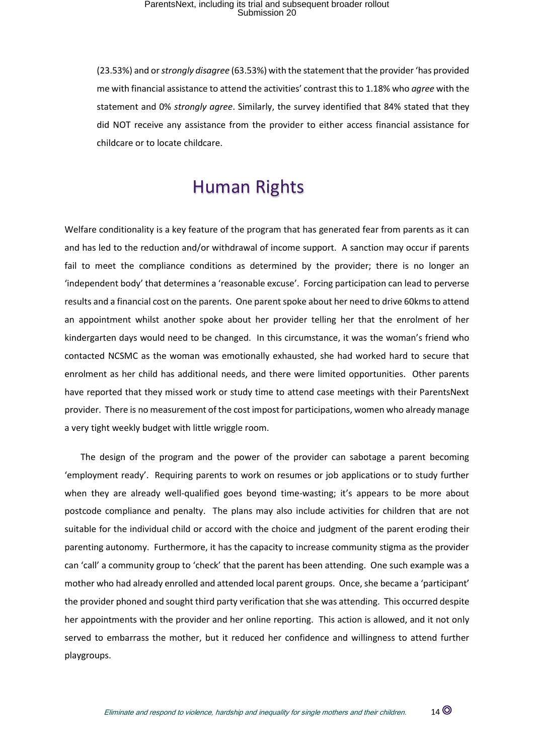(23.53%) and or *strongly disagree* (63.53%) with the statement that the provider 'has provided me with financial assistance to attend the activities' contrast this to 1.18% who *agree* with the statement and 0% *strongly agree*. Similarly, the survey identified that 84% stated that they did NOT receive any assistance from the provider to either access financial assistance for childcare or to locate childcare.

### Human Rights

Welfare conditionality is a key feature of the program that has generated fear from parents as it can and has led to the reduction and/or withdrawal of income support. A sanction may occur if parents fail to meet the compliance conditions as determined by the provider; there is no longer an 'independent body' that determines a 'reasonable excuse'. Forcing participation can lead to perverse results and a financial cost on the parents. One parent spoke about her need to drive 60kms to attend an appointment whilst another spoke about her provider telling her that the enrolment of her kindergarten days would need to be changed. In this circumstance, it was the woman's friend who contacted NCSMC as the woman was emotionally exhausted, she had worked hard to secure that enrolment as her child has additional needs, and there were limited opportunities. Other parents have reported that they missed work or study time to attend case meetings with their ParentsNext provider. There is no measurement of the cost impost for participations, women who already manage a very tight weekly budget with little wriggle room.

The design of the program and the power of the provider can sabotage a parent becoming 'employment ready'. Requiring parents to work on resumes or job applications or to study further when they are already well-qualified goes beyond time-wasting; it's appears to be more about postcode compliance and penalty. The plans may also include activities for children that are not suitable for the individual child or accord with the choice and judgment of the parent eroding their parenting autonomy. Furthermore, it has the capacity to increase community stigma as the provider can 'call' a community group to 'check' that the parent has been attending. One such example was a mother who had already enrolled and attended local parent groups. Once, she became a 'participant' the provider phoned and sought third party verification that she was attending. This occurred despite her appointments with the provider and her online reporting. This action is allowed, and it not only served to embarrass the mother, but it reduced her confidence and willingness to attend further playgroups.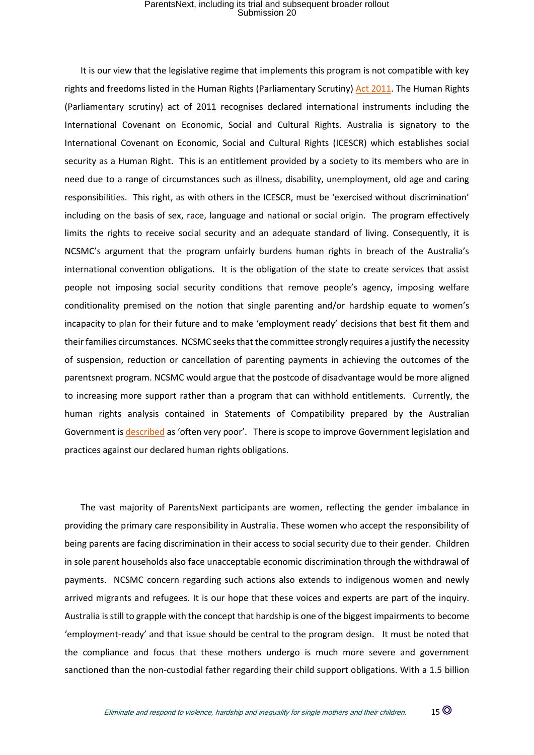It is our view that the legislative regime that implements this program is not compatible with key rights and freedoms listed in the Human Rights (Parliamentary Scrutiny[\) Act 2011.](https://www.legislation.gov.au/Details/C2011A00186) The Human Rights (Parliamentary scrutiny) act of 2011 recognises declared international instruments including the International Covenant on Economic, Social and Cultural Rights. Australia is signatory to the International Covenant on Economic, Social and Cultural Rights (ICESCR) which establishes social security as a Human Right. This is an entitlement provided by a society to its members who are in need due to a range of circumstances such as illness, disability, unemployment, old age and caring responsibilities. This right, as with others in the ICESCR, must be 'exercised without discrimination' including on the basis of sex, race, language and national or social origin. The program effectively limits the rights to receive social security and an adequate standard of living. Consequently, it is NCSMC's argument that the program unfairly burdens human rights in breach of the Australia's international convention obligations. It is the obligation of the state to create services that assist people not imposing social security conditions that remove people's agency, imposing welfare conditionality premised on the notion that single parenting and/or hardship equate to women's incapacity to plan for their future and to make 'employment ready' decisions that best fit them and their families circumstances. NCSMC seeks that the committee strongly requires a justify the necessity of suspension, reduction or cancellation of parenting payments in achieving the outcomes of the parentsnext program. NCSMC would argue that the postcode of disadvantage would be more aligned to increasing more support rather than a program that can withhold entitlements. Currently, the human rights analysis contained in Statements of Compatibility prepared by the Australian Government is [described](https://static1.squarespace.com/static/580025f66b8f5b2dabbe4291/t/59c364bb64b05fb1d2438e2f/1505977580713/18623-PUB+ICCPR+Report+for+HRLC+2017+%28WEB%29.pdf) as 'often very poor'. There is scope to improve Government legislation and practices against our declared human rights obligations.

The vast majority of ParentsNext participants are women, reflecting the gender imbalance in providing the primary care responsibility in Australia. These women who accept the responsibility of being parents are facing discrimination in their access to social security due to their gender. Children in sole parent households also face unacceptable economic discrimination through the withdrawal of payments. NCSMC concern regarding such actions also extends to indigenous women and newly arrived migrants and refugees. It is our hope that these voices and experts are part of the inquiry. Australia is still to grapple with the concept that hardship is one of the biggest impairments to become 'employment-ready' and that issue should be central to the program design. It must be noted that the compliance and focus that these mothers undergo is much more severe and government sanctioned than the non-custodial father regarding their child support obligations. With a 1.5 billion